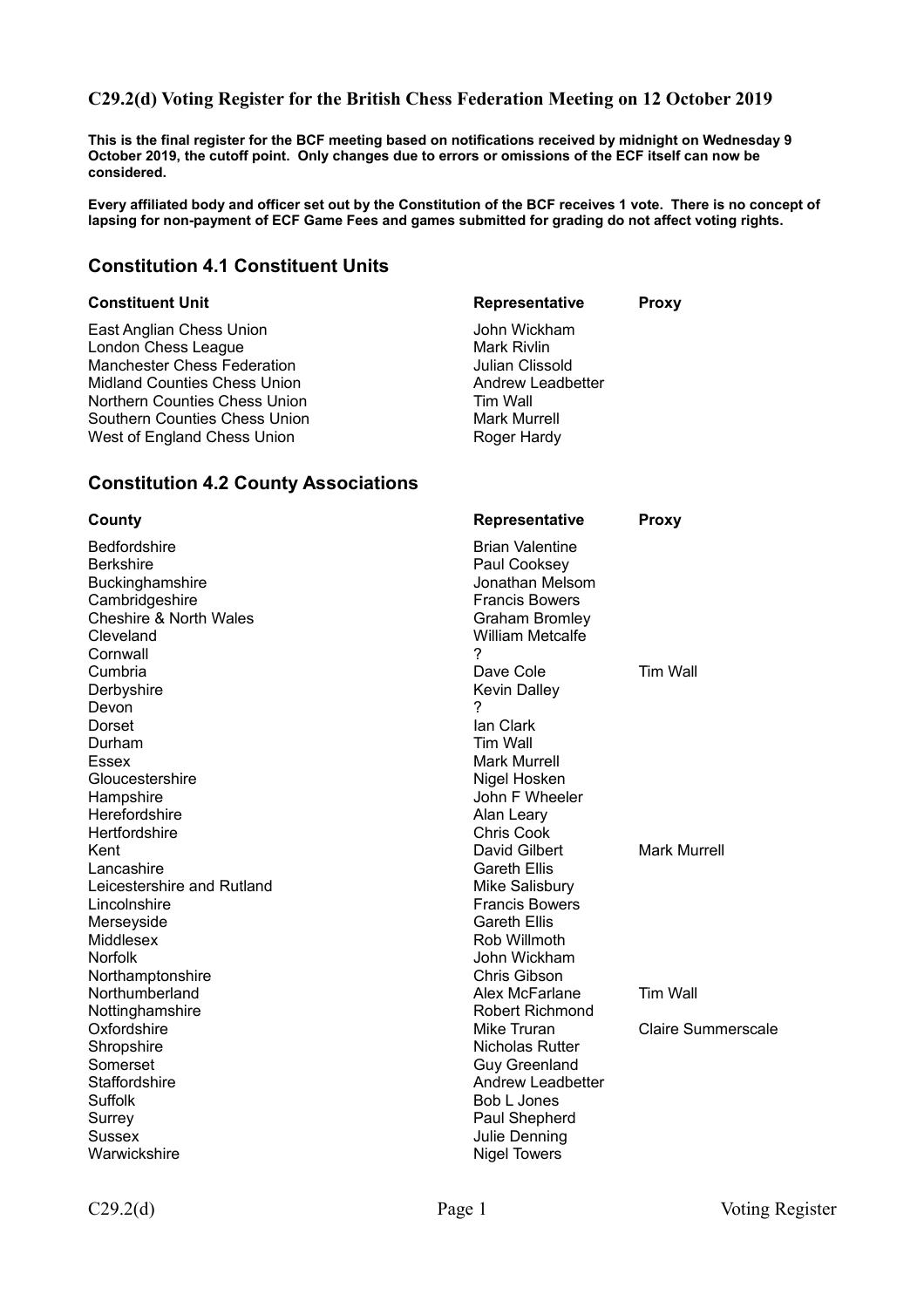### **C29.2(d) Voting Register for the British Chess Federation Meeting on 12 October 2019**

**This is the final register for the BCF meeting based on notifications received by midnight on Wednesday 9 October 2019, the cutoff point. Only changes due to errors or omissions of the ECF itself can now be considered.** 

**Every affiliated body and officer set out by the Constitution of the BCF receives 1 vote. There is no concept of lapsing for non-payment of ECF Game Fees and games submitted for grading do not affect voting rights.**

### **Constitution 4.1 Constituent Units**

East Anglian Chess Union Gast Anglian Chess Union John Wickham<br>London Chess League Gast John Mark Rivlin London Chess League<br>
Mark Rivlin<br>
Manchester Chess Federation<br>
Manchester Chess Federation Manchester Chess Federation Midland Counties Chess Union Andrew Leadbetter Northern Counties Chess Union Tim Wall Southern Counties Chess Union<br>
West of England Chess Union<br>
Mark Murrell<br>
Roger Hardy West of England Chess Union

**Constituent Unit Constituent Unit Representative Proxy** 

| <b>Constitution 4.2 County Associations</b>                                                                                                       |                                                                                                                                                            |                           |
|---------------------------------------------------------------------------------------------------------------------------------------------------|------------------------------------------------------------------------------------------------------------------------------------------------------------|---------------------------|
| County                                                                                                                                            | <b>Representative</b>                                                                                                                                      | <b>Proxy</b>              |
| <b>Bedfordshire</b><br><b>Berkshire</b><br><b>Buckinghamshire</b><br>Cambridgeshire<br><b>Cheshire &amp; North Wales</b><br>Cleveland<br>Cornwall | <b>Brian Valentine</b><br>Paul Cooksey<br>Jonathan Melsom<br><b>Francis Bowers</b><br><b>Graham Bromley</b><br><b>William Metcalfe</b><br>2                |                           |
| Cumbria<br>Derbyshire<br>Devon                                                                                                                    | Dave Cole<br>Kevin Dalley<br>7                                                                                                                             | Tim Wall                  |
| Dorset<br>Durham<br>Essex<br>Gloucestershire<br>Hampshire<br>Herefordshire<br>Hertfordshire                                                       | lan Clark<br>Tim Wall<br><b>Mark Murrell</b><br>Nigel Hosken<br>John F Wheeler<br>Alan Leary<br><b>Chris Cook</b>                                          |                           |
| Kent<br>Lancashire<br>Leicestershire and Rutland<br>Lincolnshire<br>Merseyside<br>Middlesex<br>Norfolk<br>Northamptonshire                        | David Gilbert<br><b>Gareth Ellis</b><br>Mike Salisbury<br><b>Francis Bowers</b><br><b>Gareth Ellis</b><br>Rob Willmoth<br>John Wickham<br>Chris Gibson     | <b>Mark Murrell</b>       |
| Northumberland<br>Nottinghamshire                                                                                                                 | Alex McFarlane<br><b>Robert Richmond</b>                                                                                                                   | <b>Tim Wall</b>           |
| Oxfordshire<br>Shropshire<br>Somerset<br>Staffordshire<br>Suffolk<br>Surrey<br><b>Sussex</b><br>Warwickshire                                      | Mike Truran<br>Nicholas Rutter<br><b>Guy Greenland</b><br><b>Andrew Leadbetter</b><br>Bob L Jones<br>Paul Shepherd<br>Julie Denning<br><b>Nigel Towers</b> | <b>Claire Summerscale</b> |